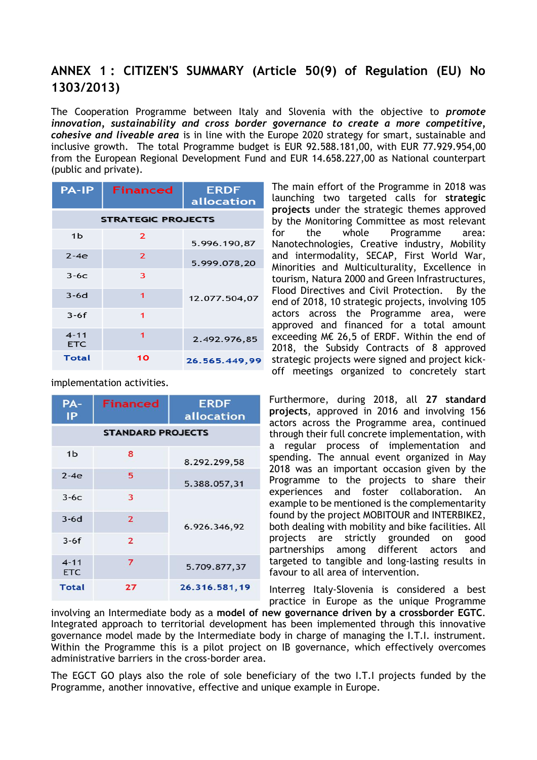## **ANNEX 1 : CITIZEN'S SUMMARY (Article 50(9) of Regulation (EU) No 1303/2013)**

The Cooperation Programme between Italy and Slovenia with the objective to *promote innovation, sustainability and cross border governance to create a more competitive, cohesive and liveable area* is in line with the Europe 2020 strategy for smart, sustainable and inclusive growth. The total Programme budget is EUR 92.588.181,00, with EUR 77.929.954,00 from the European Regional Development Fund and EUR 14.658.227,00 as National counterpart (public and private).

| <b>PA-IP</b>              | Financed       | <b>ERDF</b><br>allocation |  |
|---------------------------|----------------|---------------------------|--|
| <b>STRATEGIC PROJECTS</b> |                |                           |  |
| 1 <sub>b</sub>            | $\overline{2}$ | 5.996.190,87              |  |
| $2-4e$                    | $\overline{2}$ | 5.999.078,20              |  |
| $3-6c$                    | 3              |                           |  |
| $3-6d$                    | 1              | 12.077.504,07             |  |
| $3-6f$                    | 1              |                           |  |
| $4 - 11$<br><b>ETC</b>    | 1              | 2.492.976,85              |  |
| Total                     | 10             | 26.565.449.99             |  |

implementation activities.

| PA-<br>IP                | <b>Financed</b> | <b>ERDF</b><br>allocation |
|--------------------------|-----------------|---------------------------|
| <b>STANDARD PROJECTS</b> |                 |                           |
| 1 <sub>b</sub>           | 8               | 8.292.299,58              |
| $2-4e$                   | 5               | 5.388.057,31              |
| $3-6c$                   | 3               |                           |
| $3-6d$                   | $\overline{2}$  | 6.926.346,92              |
| $3-6f$                   | $\overline{2}$  |                           |
| $4 - 11$<br><b>ETC</b>   | 7               | 5.709.877,37              |
| <b>Total</b>             | 27              | 26.316.581,19             |

The main effort of the Programme in 2018 was launching two targeted calls for **strategic projects** under the strategic themes approved by the Monitoring Committee as most relevant for the whole Programme area: Nanotechnologies, Creative industry, Mobility and intermodality, SECAP, First World War, Minorities and Multiculturality, Excellence in tourism, Natura 2000 and Green Infrastructures, Flood Directives and Civil Protection. By the end of 2018, 10 strategic projects, involving 105 actors across the Programme area, were approved and financed for a total amount exceeding M€ 26,5 of ERDF. Within the end of 2018, the Subsidy Contracts of 8 approved strategic projects were signed and project kickoff meetings organized to concretely start

Furthermore, during 2018, all **27 standard projects**, approved in 2016 and involving 156 actors across the Programme area, continued through their full concrete implementation, with a regular process of implementation and spending. The annual event organized in May 2018 was an important occasion given by the Programme to the projects to share their experiences and foster collaboration. An example to be mentioned is the complementarity found by the project MOBITOUR and INTERBIKE2, both dealing with mobility and bike facilities. All projects are strictly grounded on good partnerships among different actors and targeted to tangible and long-lasting results in favour to all area of intervention.

Interreg Italy-Slovenia is considered a best practice in Europe as the unique Programme

involving an Intermediate body as a **model of new governance driven by a crossborder EGTC**. Integrated approach to territorial development has been implemented through this innovative governance model made by the Intermediate body in charge of managing the I.T.I. instrument. Within the Programme this is a pilot project on IB governance, which effectively overcomes administrative barriers in the cross-border area.

The EGCT GO plays also the role of sole beneficiary of the two I.T.I projects funded by the Programme, another innovative, effective and unique example in Europe.